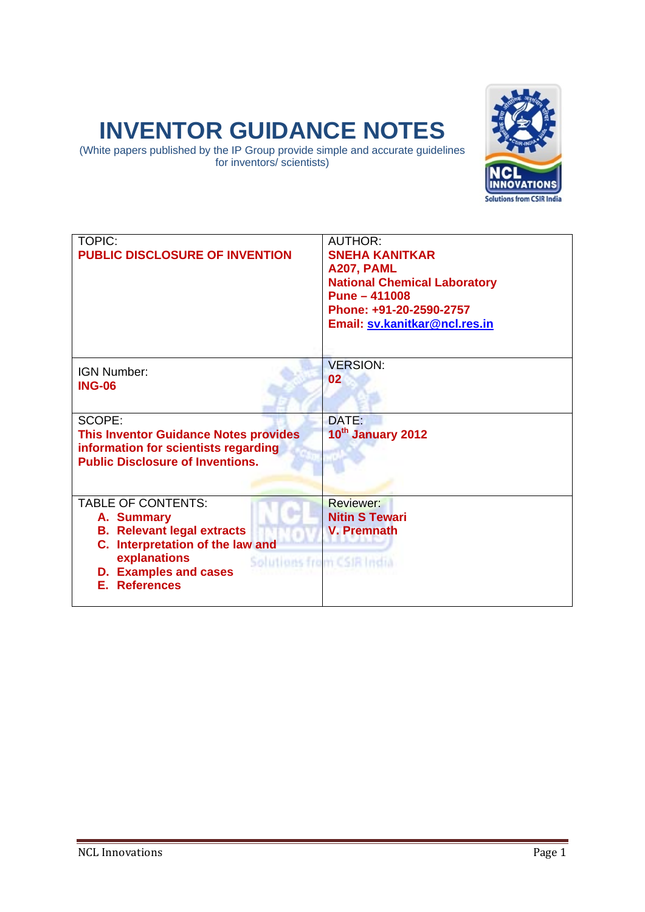# **INVENTOR GUIDANCE NOTES**

(White papers published by the IP Group provide simple and accurate guidelines for inventors/ scientists)



| <b>TOPIC:</b><br><b>PUBLIC DISCLOSURE OF INVENTION</b>                                                                                                                                   | <b>AUTHOR:</b><br><b>SNEHA KANITKAR</b><br>A207, PAML<br><b>National Chemical Laboratory</b><br>Pune - 411008<br>Phone: +91-20-2590-2757<br>Email: sv.kanitkar@ncl.res.in |
|------------------------------------------------------------------------------------------------------------------------------------------------------------------------------------------|---------------------------------------------------------------------------------------------------------------------------------------------------------------------------|
| <b>IGN Number:</b><br><b>ING-06</b>                                                                                                                                                      | <b>VERSION:</b><br>02                                                                                                                                                     |
| SCOPE:<br><b>This Inventor Guidance Notes provides</b><br>information for scientists regarding<br><b>Public Disclosure of Inventions.</b>                                                | DATE:<br>10 <sup>th</sup> January 2012                                                                                                                                    |
| <b>TABLE OF CONTENTS:</b><br>A. Summary<br><b>B.</b> Relevant legal extracts<br>C. Interpretation of the law and<br>explanations<br><b>D. Examples and cases</b><br><b>E. References</b> | <b>Reviewer:</b><br><b>Nitin S Tewari</b><br><b>V. Premnath</b><br>Solutions from CSIR India                                                                              |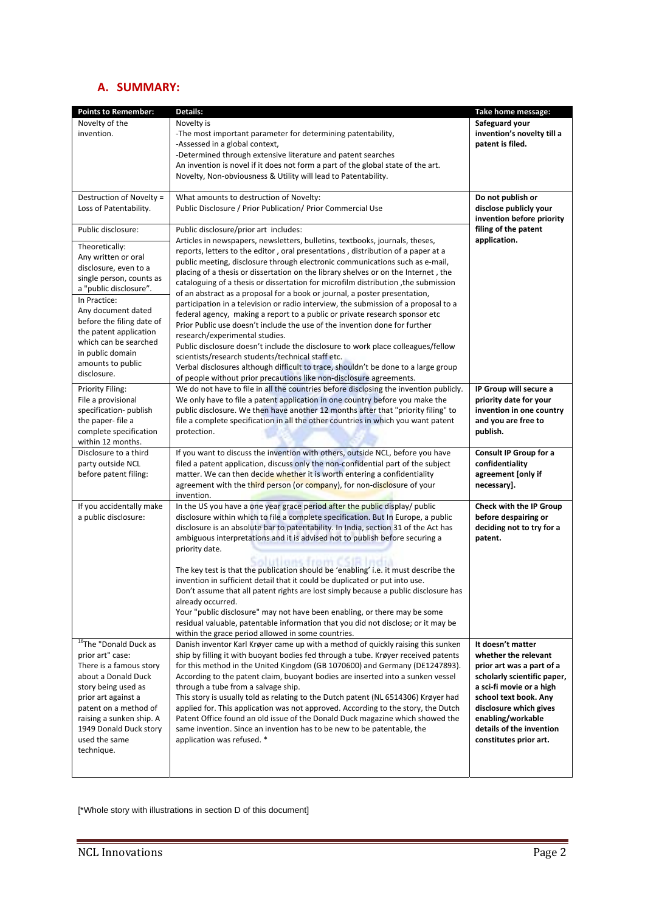## **A. SUMMARY:**

| <b>Points to Remember:</b>                   | Details:                                                                                                                                                                | Take home message:                                |
|----------------------------------------------|-------------------------------------------------------------------------------------------------------------------------------------------------------------------------|---------------------------------------------------|
| Novelty of the                               | Novelty is                                                                                                                                                              | Safeguard your                                    |
| invention.                                   | -The most important parameter for determining patentability,                                                                                                            | invention's novelty till a                        |
|                                              | -Assessed in a global context,                                                                                                                                          | patent is filed.                                  |
|                                              | -Determined through extensive literature and patent searches                                                                                                            |                                                   |
|                                              | An invention is novel if it does not form a part of the global state of the art.                                                                                        |                                                   |
|                                              | Novelty, Non-obviousness & Utility will lead to Patentability.                                                                                                          |                                                   |
|                                              |                                                                                                                                                                         |                                                   |
| Destruction of Novelty =                     | What amounts to destruction of Novelty:                                                                                                                                 | Do not publish or                                 |
| Loss of Patentability.                       | Public Disclosure / Prior Publication/ Prior Commercial Use                                                                                                             | disclose publicly your                            |
|                                              |                                                                                                                                                                         | invention before priority                         |
| Public disclosure:                           | Public disclosure/prior art includes:                                                                                                                                   | filing of the patent                              |
| Theoretically:                               | Articles in newspapers, newsletters, bulletins, textbooks, journals, theses,                                                                                            | application.                                      |
| Any written or oral                          | reports, letters to the editor, oral presentations, distribution of a paper at a<br>public meeting, disclosure through electronic communications such as e-mail,        |                                                   |
| disclosure, even to a                        | placing of a thesis or dissertation on the library shelves or on the Internet, the                                                                                      |                                                   |
| single person, counts as                     | cataloguing of a thesis or dissertation for microfilm distribution, the submission                                                                                      |                                                   |
| a "public disclosure".                       | of an abstract as a proposal for a book or journal, a poster presentation,                                                                                              |                                                   |
| In Practice:                                 | participation in a television or radio interview, the submission of a proposal to a                                                                                     |                                                   |
| Any document dated                           | federal agency, making a report to a public or private research sponsor etc                                                                                             |                                                   |
| before the filing date of                    | Prior Public use doesn't include the use of the invention done for further                                                                                              |                                                   |
| the patent application                       | research/experimental studies.                                                                                                                                          |                                                   |
| which can be searched                        | Public disclosure doesn't include the disclosure to work place colleagues/fellow                                                                                        |                                                   |
| in public domain                             | scientists/research students/technical staff etc.                                                                                                                       |                                                   |
| amounts to public                            | Verbal disclosures although difficult to trace, shouldn't be done to a large group                                                                                      |                                                   |
| disclosure.                                  | of people without prior precautions like non-disclosure agreements.                                                                                                     |                                                   |
| <b>Priority Filing:</b>                      | We do not have to file in all the countries before disclosing the invention publicly.                                                                                   | IP Group will secure a                            |
| File a provisional                           | We only have to file a patent application in one country before you make the                                                                                            | priority date for your                            |
| specification- publish                       | public disclosure. We then have another 12 months after that "priority filing" to                                                                                       | invention in one country                          |
| the paper-file a                             | file a complete specification in all the other countries in which you want patent                                                                                       | and you are free to                               |
| complete specification                       | protection.                                                                                                                                                             | publish.                                          |
| within 12 months.                            |                                                                                                                                                                         |                                                   |
| Disclosure to a third                        | If you want to discuss the invention with others, outside NCL, before you have                                                                                          | Consult IP Group for a                            |
| party outside NCL                            | filed a patent application, discuss only the non-confidential part of the subject                                                                                       | confidentiality                                   |
| before patent filing:                        | matter. We can then decide whether it is worth entering a confidentiality<br>agreement with the third person (or company), for non-disclosure of your                   | agreement [only if                                |
|                                              | invention.                                                                                                                                                              | necessary].                                       |
| If you accidentally make                     | In the US you have a one year grace period after the public display/ public                                                                                             | Check with the IP Group                           |
| a public disclosure:                         | disclosure within which to file a complete specification. But In Europe, a public                                                                                       | before despairing or                              |
|                                              | disclosure is an absolute bar to patentability. In India, section 31 of the Act has                                                                                     | deciding not to try for a                         |
|                                              | ambiguous interpretations and it is advised not to publish before securing a                                                                                            | patent.                                           |
|                                              | priority date.                                                                                                                                                          |                                                   |
|                                              | shihaacimm CSBN adu                                                                                                                                                     |                                                   |
|                                              | The key test is that the publication should be 'enabling' i.e. it must describe the                                                                                     |                                                   |
|                                              | invention in sufficient detail that it could be duplicated or put into use.                                                                                             |                                                   |
|                                              | Don't assume that all patent rights are lost simply because a public disclosure has                                                                                     |                                                   |
|                                              | already occurred.                                                                                                                                                       |                                                   |
|                                              | Your "public disclosure" may not have been enabling, or there may be some                                                                                               |                                                   |
|                                              | residual valuable, patentable information that you did not disclose; or it may be<br>within the grace period allowed in some countries.                                 |                                                   |
| <sup>16</sup> The "Donald Duck as            | Danish inventor Karl Krøyer came up with a method of quickly raising this sunken                                                                                        | It doesn't matter                                 |
| prior art" case:                             | ship by filling it with buoyant bodies fed through a tube. Krøyer received patents                                                                                      | whether the relevant                              |
|                                              |                                                                                                                                                                         | prior art was a part of a                         |
|                                              |                                                                                                                                                                         |                                                   |
| There is a famous story                      | for this method in the United Kingdom (GB 1070600) and Germany (DE1247893).                                                                                             |                                                   |
| about a Donald Duck                          | According to the patent claim, buoyant bodies are inserted into a sunken vessel                                                                                         | scholarly scientific paper,                       |
| story being used as                          | through a tube from a salvage ship.                                                                                                                                     | a sci-fi movie or a high<br>school text book. Any |
| prior art against a<br>patent on a method of | This story is usually told as relating to the Dutch patent (NL 6514306) Krøyer had<br>applied for. This application was not approved. According to the story, the Dutch | disclosure which gives                            |
| raising a sunken ship. A                     | Patent Office found an old issue of the Donald Duck magazine which showed the                                                                                           | enabling/workable                                 |
| 1949 Donald Duck story                       | same invention. Since an invention has to be new to be patentable, the                                                                                                  | details of the invention                          |
| used the same                                | application was refused. *                                                                                                                                              | constitutes prior art.                            |
| technique.                                   |                                                                                                                                                                         |                                                   |
|                                              |                                                                                                                                                                         |                                                   |

[\*Whole story with illustrations in section D of this document]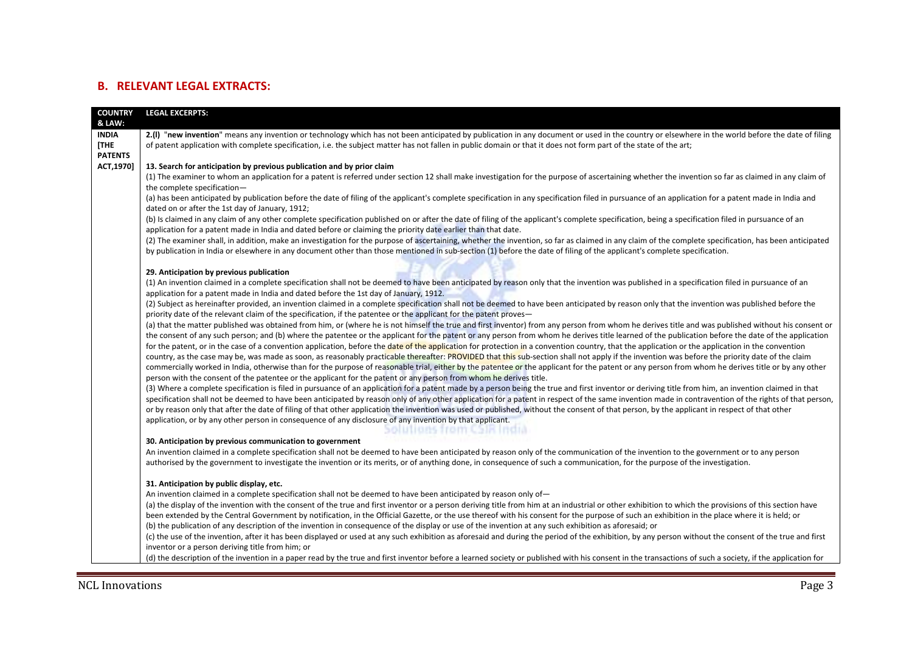## **B. RELEVANT LEGAL EXTRACTS:**

| & LAW:       | <b>COUNTRY</b> | <b>LEGAL EXCERPTS:</b>                                                                                                                                                                                                                                                                                                                                                                             |
|--------------|----------------|----------------------------------------------------------------------------------------------------------------------------------------------------------------------------------------------------------------------------------------------------------------------------------------------------------------------------------------------------------------------------------------------------|
| <b>INDIA</b> |                | 2.(I) "new invention" means any invention or technology which has not been anticipated by publication in any document or used in the country or elsewhere in the world before the date of filing                                                                                                                                                                                                   |
| [THE         | <b>PATENTS</b> | of patent application with complete specification, i.e. the subject matter has not fallen in public domain or that it does not form part of the state of the art;                                                                                                                                                                                                                                  |
|              | ACT,1970]      | 13. Search for anticipation by previous publication and by prior claim                                                                                                                                                                                                                                                                                                                             |
|              |                | (1) The examiner to whom an application for a patent is referred under section 12 shall make investigation for the purpose of ascertaining whether the invention so far as claimed in any claim of                                                                                                                                                                                                 |
|              |                | the complete specification-                                                                                                                                                                                                                                                                                                                                                                        |
|              |                | (a) has been anticipated by publication before the date of filing of the applicant's complete specification in any specification filed in pursuance of an application for a patent made in India and<br>dated on or after the 1st day of January, 1912;                                                                                                                                            |
|              |                | (b) Is claimed in any claim of any other complete specification published on or after the date of filing of the applicant's complete specification, being a specification filed in pursuance of an<br>application for a patent made in India and dated before or claiming the priority date earlier than that date.                                                                                |
|              |                | (2) The examiner shall, in addition, make an investigation for the purpose of ascertaining, whether the invention, so far as claimed in any claim of the complete specification, has been anticipated                                                                                                                                                                                              |
|              |                | by publication in India or elsewhere in any document other than those mentioned in sub-section (1) before the date of filing of the applicant's complete specification.                                                                                                                                                                                                                            |
|              |                | 29. Anticipation by previous publication                                                                                                                                                                                                                                                                                                                                                           |
|              |                | (1) An invention claimed in a complete specification shall not be deemed to have been anticipated by reason only that the invention was published in a specification filed in pursuance of an                                                                                                                                                                                                      |
|              |                | application for a patent made in India and dated before the 1st day of January, 1912.                                                                                                                                                                                                                                                                                                              |
|              |                | (2) Subject as hereinafter provided, an invention claimed in a complete specification shall not be deemed to have been anticipated by reason only that the invention was published before the                                                                                                                                                                                                      |
|              |                | priority date of the relevant claim of the specification, if the patentee or the applicant for the patent proves-                                                                                                                                                                                                                                                                                  |
|              |                | (a) that the matter published was obtained from him, or (where he is not himself the true and first inventor) from any person from whom he derives title and was published without his consent or                                                                                                                                                                                                  |
|              |                | the consent of any such person; and (b) where the patentee or the applicant for the patent or any person from whom he derives title learned of the publication before the date of the application                                                                                                                                                                                                  |
|              |                | for the patent, or in the case of a convention application, before the date of the application for protection in a convention country, that the application or the application in the convention<br>country, as the case may be, was made as soon, as reasonably practicable thereafter: PROVIDED that this sub-section shall not apply if the invention was before the priority date of the claim |
|              |                | commercially worked in India, otherwise than for the purpose of reasonable trial, either by the patentee or the applicant for the patent or any person from whom he derives title or by any other                                                                                                                                                                                                  |
|              |                | person with the consent of the patentee or the applicant for the patent or any person from whom he derives title.                                                                                                                                                                                                                                                                                  |
|              |                | (3) Where a complete specification is filed in pursuance of an application for a patent made by a person being the true and first inventor or deriving title from him, an invention claimed in that                                                                                                                                                                                                |
|              |                | specification shall not be deemed to have been anticipated by reason only of any other application for a patent in respect of the same invention made in contravention of the rights of that person,                                                                                                                                                                                               |
|              |                | or by reason only that after the date of filing of that other application the invention was used or published, without the consent of that person, by the applicant in respect of that other                                                                                                                                                                                                       |
|              |                | application, or by any other person in consequence of any disclosure of any invention by that applicant.                                                                                                                                                                                                                                                                                           |
|              |                | 30 BH <del>085 H011 C318 IBOI</del> A                                                                                                                                                                                                                                                                                                                                                              |
|              |                | 30. Anticipation by previous communication to government<br>An invention claimed in a complete specification shall not be deemed to have been anticipated by reason only of the communication of the invention to the government or to any person                                                                                                                                                  |
|              |                | authorised by the government to investigate the invention or its merits, or of anything done, in consequence of such a communication, for the purpose of the investigation.                                                                                                                                                                                                                        |
|              |                |                                                                                                                                                                                                                                                                                                                                                                                                    |
|              |                | 31. Anticipation by public display, etc.                                                                                                                                                                                                                                                                                                                                                           |
|              |                | An invention claimed in a complete specification shall not be deemed to have been anticipated by reason only of-                                                                                                                                                                                                                                                                                   |
|              |                | (a) the display of the invention with the consent of the true and first inventor or a person deriving title from him at an industrial or other exhibition to which the provisions of this section have                                                                                                                                                                                             |
|              |                | been extended by the Central Government by notification, in the Official Gazette, or the use thereof with his consent for the purpose of such an exhibition in the place where it is held; or                                                                                                                                                                                                      |
|              |                | (b) the publication of any description of the invention in consequence of the display or use of the invention at any such exhibition as aforesaid; or                                                                                                                                                                                                                                              |
|              |                | (c) the use of the invention, after it has been displayed or used at any such exhibition as aforesaid and during the period of the exhibition, by any person without the consent of the true and first<br>inventor or a person deriving title from him; or                                                                                                                                         |
|              |                | (d) the description of the invention in a paper read by the true and first inventor before a learned society or published with his consent in the transactions of such a society, if the application for                                                                                                                                                                                           |
|              |                |                                                                                                                                                                                                                                                                                                                                                                                                    |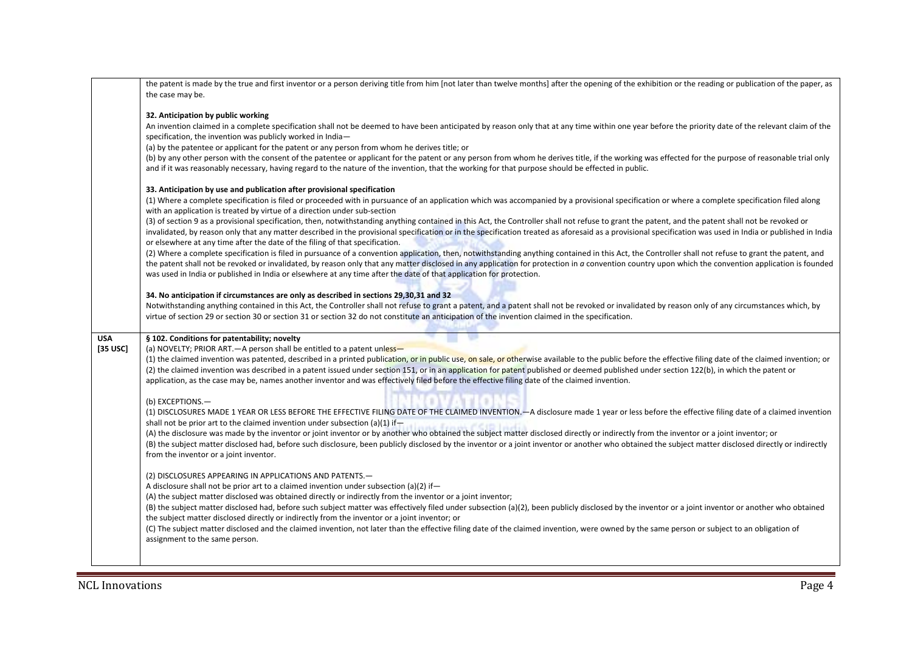|                        | the patent is made by the true and first inventor or a person deriving title from him [not later than twelve months] after the opening of the exhibition or the reading or publication of the paper, as<br>the case may be.                                                                                                                                                                                                                                                                                                                                                                                                                                                                                                                                                                                                                                                                                                                                                                                                                                                                                                                                                                                                                                                                                                                                                                                                       |
|------------------------|-----------------------------------------------------------------------------------------------------------------------------------------------------------------------------------------------------------------------------------------------------------------------------------------------------------------------------------------------------------------------------------------------------------------------------------------------------------------------------------------------------------------------------------------------------------------------------------------------------------------------------------------------------------------------------------------------------------------------------------------------------------------------------------------------------------------------------------------------------------------------------------------------------------------------------------------------------------------------------------------------------------------------------------------------------------------------------------------------------------------------------------------------------------------------------------------------------------------------------------------------------------------------------------------------------------------------------------------------------------------------------------------------------------------------------------|
|                        | 32. Anticipation by public working<br>An invention claimed in a complete specification shall not be deemed to have been anticipated by reason only that at any time within one year before the priority date of the relevant claim of the<br>specification, the invention was publicly worked in India-<br>(a) by the patentee or applicant for the patent or any person from whom he derives title; or<br>(b) by any other person with the consent of the patentee or applicant for the patent or any person from whom he derives title, if the working was effected for the purpose of reasonable trial only<br>and if it was reasonably necessary, having regard to the nature of the invention, that the working for that purpose should be effected in public.                                                                                                                                                                                                                                                                                                                                                                                                                                                                                                                                                                                                                                                               |
|                        | 33. Anticipation by use and publication after provisional specification<br>(1) Where a complete specification is filed or proceeded with in pursuance of an application which was accompanied by a provisional specification or where a complete specification filed along<br>with an application is treated by virtue of a direction under sub-section<br>(3) of section 9 as a provisional specification, then, notwithstanding anything contained in this Act, the Controller shall not refuse to grant the patent, and the patent shall not be revoked or<br>invalidated, by reason only that any matter described in the provisional specification or in the specification treated as aforesaid as a provisional specification was used in India or published in India<br>or elsewhere at any time after the date of the filing of that specification.<br>(2) Where a complete specification is filed in pursuance of a convention application, then, notwithstanding anything contained in this Act, the Controller shall not refuse to grant the patent, and<br>the patent shall not be revoked or invalidated, by reason only that any matter disclosed in any application for protection in a convention country upon which the convention application is founded<br>was used in India or published in India or elsewhere at any time after the date of that application for protection.                                 |
|                        | 34. No anticipation if circumstances are only as described in sections 29,30,31 and 32<br>Notwithstanding anything contained in this Act, the Controller shall not refuse to grant a patent, and a patent shall not be revoked or invalidated by reason only of any circumstances which, by<br>virtue of section 29 or section 30 or section 31 or section 32 do not constitute an anticipation of the invention claimed in the specification.                                                                                                                                                                                                                                                                                                                                                                                                                                                                                                                                                                                                                                                                                                                                                                                                                                                                                                                                                                                    |
| <b>USA</b><br>[35 USC] | § 102. Conditions for patentability; novelty<br>(a) NOVELTY; PRIOR ART. - A person shall be entitled to a patent unless-<br>(1) the claimed invention was patented, described in a printed publication, or in public use, on sale, or otherwise available to the public before the effective filing date of the claimed invention; or<br>(2) the claimed invention was described in a patent issued under section 151, or in an application for patent published or deemed published under section 122(b), in which the patent or<br>application, as the case may be, names another inventor and was effectively filed before the effective filing date of the claimed invention.<br>(b) EXCEPTIONS.-<br>(1) DISCLOSURES MADE 1 YEAR OR LESS BEFORE THE EFFECTIVE FILING DATE OF THE CLAIMED INVENTION. - A disclosure made 1 year or less before the effective filing date of a claimed invention<br>shall not be prior art to the claimed invention under subsection (a)(1) if $+$<br>(A) the disclosure was made by the inventor or joint inventor or by another who obtained the subject matter disclosed directly or indirectly from the inventor or a joint inventor; or<br>(B) the subject matter disclosed had, before such disclosure, been publicly disclosed by the inventor or a joint inventor or another who obtained the subject matter disclosed directly or indirectly<br>from the inventor or a joint inventor. |
|                        | (2) DISCLOSURES APPEARING IN APPLICATIONS AND PATENTS.-<br>A disclosure shall not be prior art to a claimed invention under subsection (a)(2) if—<br>(A) the subject matter disclosed was obtained directly or indirectly from the inventor or a joint inventor;<br>(B) the subject matter disclosed had, before such subject matter was effectively filed under subsection (a)(2), been publicly disclosed by the inventor or a joint inventor or another who obtained<br>the subject matter disclosed directly or indirectly from the inventor or a joint inventor; or<br>(C) The subject matter disclosed and the claimed invention, not later than the effective filing date of the claimed invention, were owned by the same person or subject to an obligation of<br>assignment to the same person.                                                                                                                                                                                                                                                                                                                                                                                                                                                                                                                                                                                                                         |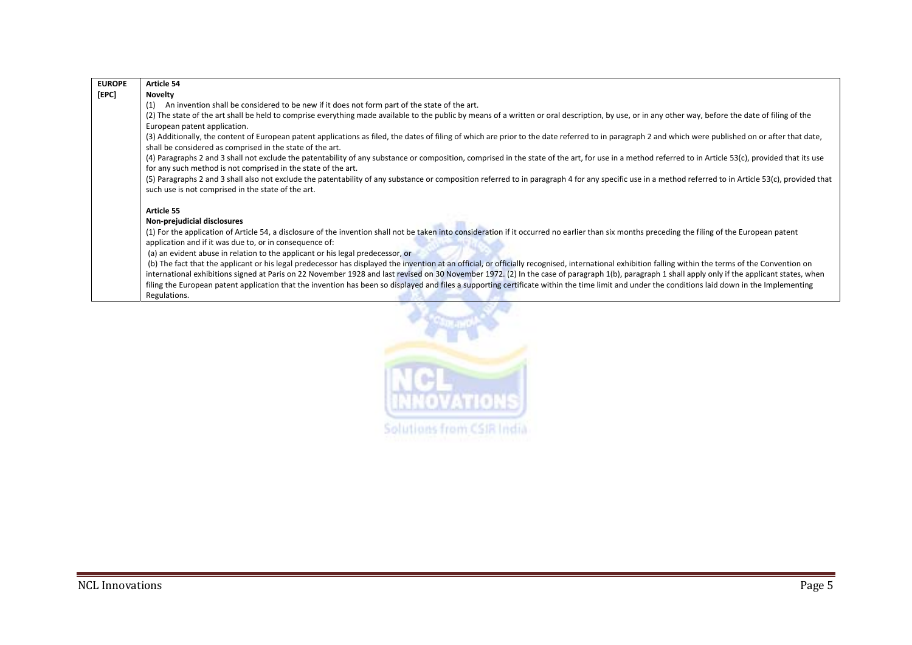| <b>EUROPE</b> | <b>Article 54</b>                                                                                                                                                                                       |  |  |  |
|---------------|---------------------------------------------------------------------------------------------------------------------------------------------------------------------------------------------------------|--|--|--|
| [EPC]         | <b>Novelty</b>                                                                                                                                                                                          |  |  |  |
|               | An invention shall be considered to be new if it does not form part of the state of the art.<br>(1)                                                                                                     |  |  |  |
|               | (2) The state of the art shall be held to comprise everything made available to the public by means of a written or oral description, by use, or in any other way, before the date of filing of the     |  |  |  |
|               | European patent application.                                                                                                                                                                            |  |  |  |
|               | (3) Additionally, the content of European patent applications as filed, the dates of filing of which are prior to the date referred to in paragraph 2 and which were published on or after that date,   |  |  |  |
|               | shall be considered as comprised in the state of the art.                                                                                                                                               |  |  |  |
|               | (4) Paragraphs 2 and 3 shall not exclude the patentability of any substance or composition, comprised in the state of the art, for use in a method referred to in Article 53(c), provided that its use  |  |  |  |
|               | for any such method is not comprised in the state of the art.                                                                                                                                           |  |  |  |
|               | (5) Paragraphs 2 and 3 shall also not exclude the patentability of any substance or composition referred to in paragraph 4 for any specific use in a method referred to in Article 53(c), provided that |  |  |  |
|               | such use is not comprised in the state of the art.                                                                                                                                                      |  |  |  |
|               |                                                                                                                                                                                                         |  |  |  |
|               | Article 55                                                                                                                                                                                              |  |  |  |
|               | Non-prejudicial disclosures                                                                                                                                                                             |  |  |  |
|               | (1) For the application of Article 54, a disclosure of the invention shall not be taken into consideration if it occurred no earlier than six months preceding the filing of the European patent        |  |  |  |
|               | application and if it was due to, or in consequence of:                                                                                                                                                 |  |  |  |
|               | (a) an evident abuse in relation to the applicant or his legal predecessor, or                                                                                                                          |  |  |  |
|               | (b) The fact that the applicant or his legal predecessor has displayed the invention at an official, or officially recognised, international exhibition falling within the terms of the Convention on   |  |  |  |
|               | international exhibitions signed at Paris on 22 November 1928 and last revised on 30 November 1972. (2) In the case of paragraph 1(b), paragraph 1 shall apply only if the applicant states, when       |  |  |  |
|               | filing the European patent application that the invention has been so displayed and files a supporting certificate within the time limit and under the conditions laid down in the Implementing         |  |  |  |
|               | Regulations.                                                                                                                                                                                            |  |  |  |

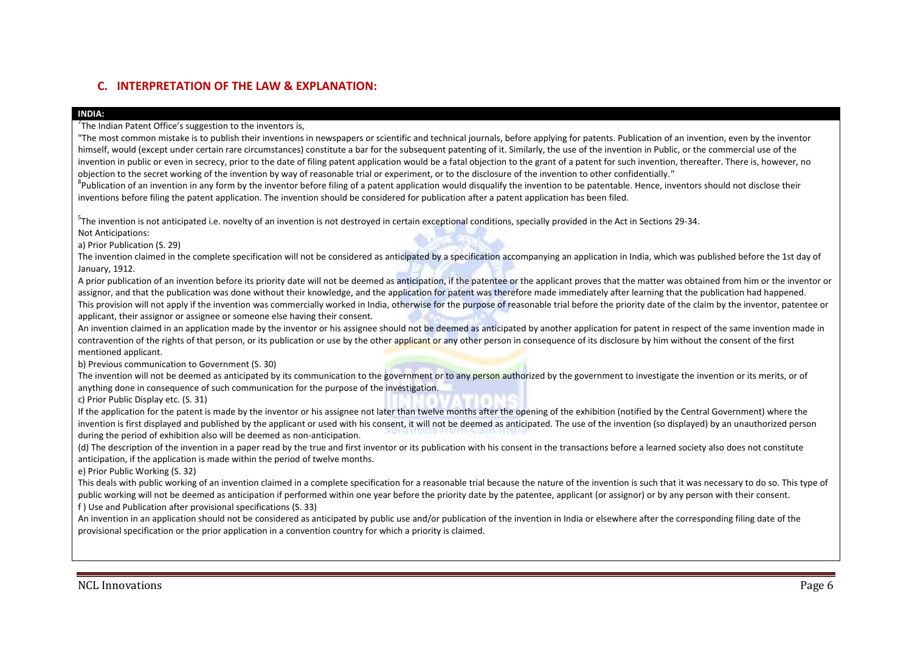## **C. INTERPRETATION OF THE LAW & EXPLANATION:**

#### **INDIA:**

 $7$ The Indian Patent Office's suggestion to the inventors is,

"The most common mistake is to publish their inventions in newspapers or scientific and technical journals, before applying for patents. Publication of an invention, even by the inventor himself, would (except under certain rare circumstances) constitute a bar for the subsequent patenting of it. Similarly, the use of the invention in Public, or the commercial use of the invention in public or even in secrecy, prior to the date of filing patent application would be <sup>a</sup> fatal objection to the grant of <sup>a</sup> patent for such invention, thereafter. There is, however, no objection to the secret working of the invention by way of reasonable trial or experiment, or to the disclosure of the invention to other confidentially.*"*

<sup>8</sup>Publication of an invention in any form by the inventor before filing of a patent application would disqualify the invention to be patentable. Hence, inventors should not disclose their inventions before filing the patent application. The invention should be considered for publication after <sup>a</sup> patent application has been filed.

 $5$ The invention is not anticipated i.e. novelty of an invention is not destroyed in certain exceptional conditions, specially provided in the Act in Sections 29-34. Not Anticipations:

a) Prior Publication (S. 29)

The invention claimed in the complete specification will not be considered as anticipated by <sup>a</sup> specification accompanying an application in India, which was published before the 1st day of January, 1912.

A prior publication of an invention before its priority date will not be deemed as anticipation, if the patentee or the applicant proves that the matter was obtained from him or the inventor or assignor, and that the publication was done without their knowledge, and the application for patent was therefore made immediately after learning that the publication had happened. This provision will not apply if the invention was commercially worked in India, otherwise for the purpose of reasonable trial before the priority date of the claim by the inventor, patentee or applicant, their assignor or assignee or someone else having their consent.

An invention claimed in an application made by the inventor or his assignee should not be deemed as anticipated by another application for patent in respect of the same invention made in contravention of the rights of that person, or its publication or use by the other applicant or any other person in consequence of its disclosure by him without the consent of the first mentioned applicant.

b) Previous communication to Government (S. 30)

The invention will not be deemed as anticipated by its communication to the government or to any person authorized by the government to investigate the invention or its merits, or of anything done in consequence of such communication for the purpose of the investigation.

c) Prior Public Display etc. (S. 31)

If the application for the patent is made by the inventor or his assignee not later than twelve months after the opening of the exhibition (notified by the Central Government) where the invention is first displayed and published by the applicant or used with his consent, it will not be deemed as anticipated. The use of the invention (so displayed) by an unauthorized person during the period of exhibition also will be deemed as non‐anticipation.

(d) The description of the invention in <sup>a</sup> paper read by the true and first inventor or its publication with his consent in the transactions before <sup>a</sup> learned society also does not constitute anticipation, if the application is made within the period of twelve months.

e) Prior Public Working (S. 32)

This deals with public working of an invention claimed in <sup>a</sup> complete specification for <sup>a</sup> reasonable trial because the nature of the invention is such that it was necessary to do so. This type of public working will not be deemed as anticipation if performed within one year before the priority date by the patentee, applicant (or assignor) or by any person with their consent. f ) Use and Publication after provisional specifications (S. 33)

An invention in an application should not be considered as anticipated by public use and/or publication of the invention in India or elsewhere after the corresponding filing date of the provisional specification or the prior application in <sup>a</sup> convention country for which <sup>a</sup> priority is claimed.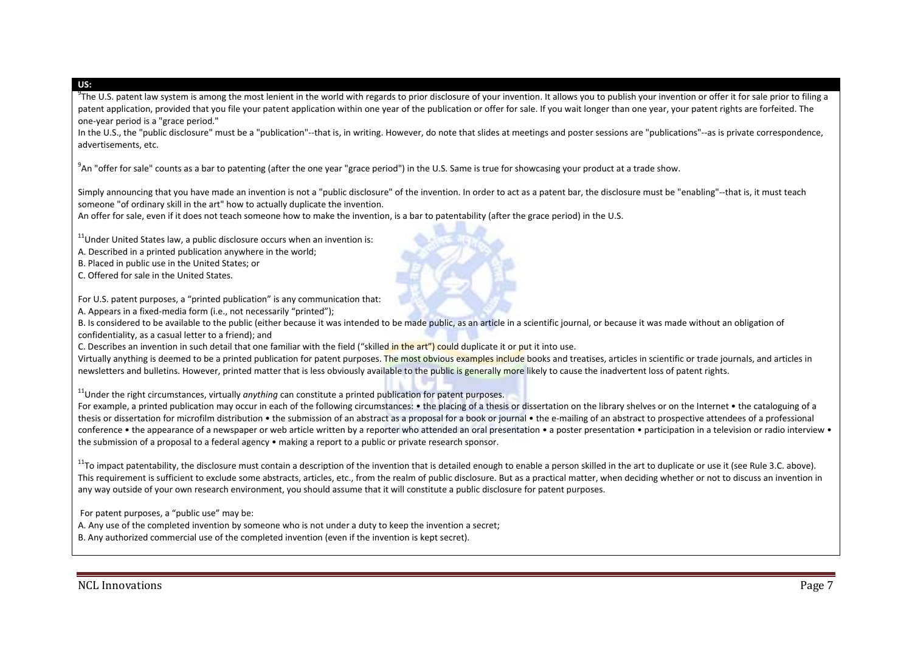**US:**

 $^{9}$ The U.S. patent law system is among the most lenient in the world with regards to prior disclosure of your invention. It allows you to publish your invention or offer it for sale prior to filing a patent application, provided that you file your patent application within one year of the publication or offer for sale. If you wait longer than one year, your patent rights are forfeited. The one‐year period is <sup>a</sup> "grace period."

In the U.S., the "public disclosure" must be a "publication"–-that is, in writing. However, do note that slides at meetings and poster sessions are "publications"–-as is private correspondence, advertisements, etc.

 $^9$ An "offer for sale" counts as a bar to patenting (after the one year "grace period") in the U.S. Same is true for showcasing your product at a trade show.

Simply announcing that you have made an invention is not a "public disclosure" of the invention. In order to act as a patent bar, the disclosure must be "enabling"--that is, it must teach someone "of ordinary skill in the art" how to actually duplicate the invention.

An offer for sale, even if it does not teach someone how to make the invention, is <sup>a</sup> bar to patentability (after the grace period) in the U.S.

 $11$ Under United States law, a public disclosure occurs when an invention is:

A. Described in <sup>a</sup> printed publication anywhere in the world;

B. Placed in public use in the United States; or

C. Offered for sale in the United States.

For U.S. patent purposes, <sup>a</sup> "printed publication" is any communication that:

A. Appears in <sup>a</sup> fixed‐media form (i.e., not necessarily "printed");

B. Is considered to be available to the public (either because it was intended to be made public, as an article in <sup>a</sup> scientific journal, or because it was made without an obligation of confidentiality, as <sup>a</sup> casual letter to <sup>a</sup> friend); and

C. Describes an invention in such detail that one familiar with the field ("skilled in the art") could duplicate it or put it into use.

Virtually anything is deemed to be a printed publication for patent purposes. The most obvious examples include books and treatises, articles in scientific or trade journals, and articles in newsletters and bulletins. However, printed matter that is less obviously available to the public is generally more likely to cause the inadvertent loss of patent rights.

<sup>11</sup>Under the right circumstances, virtually *anything* can constitute a printed publication for patent purposes.

For example, a printed publication may occur in each of the following circumstances: • the placing of a thesis or dissertation on the library shelves or on the Internet • the cataloguing of a thesis or dissertation for microfilm distribution • the submission of an abstract as a proposal for a book or journal • the e-mailing of an abstract to prospective attendees of a professional conference • the appearance of a newspaper or web article written by a reporter who attended an oral presentation • a poster presentation • participation in a television or radio interview • the submission of <sup>a</sup> proposal to <sup>a</sup> federal agency • making <sup>a</sup> report to <sup>a</sup> public or private research sponsor.

 $^{11}$ To impact patentability, the disclosure must contain a description of the invention that is detailed enough to enable a person skilled in the art to duplicate or use it (see Rule 3.C. above). This requirement is sufficient to exclude some abstracts, articles, etc., from the realm of public disclosure. But as <sup>a</sup> practical matter, when deciding whether or not to discuss an invention in any way outside of your own research environment, you should assume that it will constitute <sup>a</sup> public disclosure for patent purposes.

For patent purposes, <sup>a</sup> "public use" may be:

A. Any use of the completed invention by someone who is not under <sup>a</sup> duty to keep the invention <sup>a</sup> secret;

B. Any authorized commercial use of the completed invention (even if the invention is kept secret).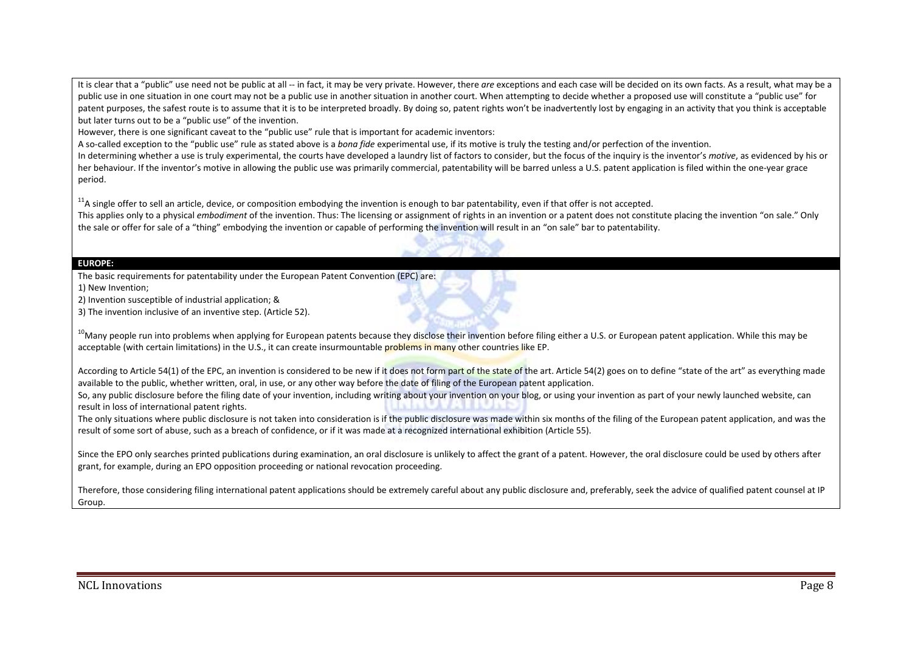It is clear that a "public" use need not be public at all -- in fact, it may be very private. However, there are exceptions and each case will be decided on its own facts. As a result, what may be a public use in one situation in one court may not be a public use in another situation in another court. When attempting to decide whether a proposed use will constitute a "public use" for patent purposes, the safest route is to assume that it is to be interpreted broadly. By doing so, patent rights won't be inadvertently lost by engaging in an activity that you think is acceptable but later turns out to be <sup>a</sup> "public use" of the invention.

However, there is one significant caveat to the "public use" rule that is important for academic inventors:

A so‐called exception to the "public use" rule as stated above is <sup>a</sup> *bona fide* experimental use, if its motive is truly the testing and/or perfection of the invention.

In determining whether <sup>a</sup> use is truly experimental, the courts have developed <sup>a</sup> laundry list of factors to consider, but the focus of the inquiry is the inventor's *motive*, as evidenced by his or her behaviour. If the inventor's motive in allowing the public use was primarily commercial, patentability will be barred unless <sup>a</sup> U.S. patent application is filed within the one‐year grace period.

 $^{11}$ A single offer to sell an article, device, or composition embodying the invention is enough to bar patentability, even if that offer is not accepted.

This applies only to a physical *embodiment* of the invention. Thus: The licensing or assignment of rights in an invention or a patent does not constitute placing the invention "on sale." Only the sale or offer for sale of <sup>a</sup> "thing" embodying the invention or capable of performing the invention will result in an "on sale" bar to patentability.

#### **EUROPE:**

The basic requirements for patentability under the European Patent Convention (EPC) are: 1) New Invention;

2) Invention susceptible of industrial application; &

3) The invention inclusive of an inventive step. (Article 52).

 $10$ Many people run into problems when applying for European patents because they disclose their invention before filing either a U.S. or European patent application. While this may be acceptable (with certain limitations) in the U.S., it can create insurmountable problems in many other countries like EP.

According to Article 54(1) of the EPC, an invention is considered to be new if it does not form part of the state of the art. Article 54(2) goes on to define "state of the art" as everything made available to the public, whether written, oral, in use, or any other way before the date of filing of the European patent application.

So, any public disclosure before the filing date of your invention, including writing about your invention on your blog, or using your invention as part of your newly launched website, can result in loss of international patent rights.

The only situations where public disclosure is not taken into consideration is if the public disclosure was made within six months of the filing of the European patent application, and was the result of some sort of abuse, such as <sup>a</sup> breach of confidence, or if it was made at <sup>a</sup> recognized international exhibition (Article 55).

Since the EPO only searches printed publications during examination, an oral disclosure is unlikely to affect the grant of a patent. However, the oral disclosure could be used by others after grant, for example, during an EPO opposition proceeding or national revocation proceeding.

Therefore, those considering filing international patent applications should be extremely careful about any public disclosure and, preferably, seek the advice of qualified patent counsel at IP Group.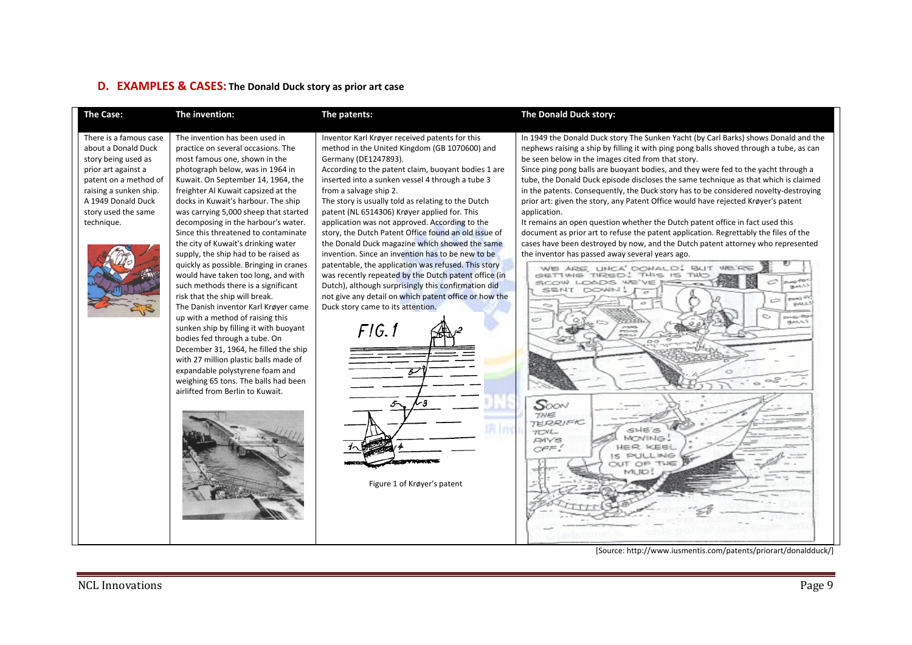| <b>The Case:</b>                                                                                                                                                                                          | The invention:                                                                                                                                                                                                                                                                                                                                                                                                                                                                                                                                                                                                                                                                                                                                                                                                                                                                                                                                                                          | The patents:                                                                                                                                                                                                                                                                                                                                                                                                                                                                                                                                                                                                                                                                                                                                                                                                                                                                                    | The Donald Duck story:                                                                                                                                                                                                                                                                                                                                                                                                                                                                                                                                                                                                                                                                                                                                                                                                                                                                                                                                                                                                                                                                                                                                                                              |
|-----------------------------------------------------------------------------------------------------------------------------------------------------------------------------------------------------------|-----------------------------------------------------------------------------------------------------------------------------------------------------------------------------------------------------------------------------------------------------------------------------------------------------------------------------------------------------------------------------------------------------------------------------------------------------------------------------------------------------------------------------------------------------------------------------------------------------------------------------------------------------------------------------------------------------------------------------------------------------------------------------------------------------------------------------------------------------------------------------------------------------------------------------------------------------------------------------------------|-------------------------------------------------------------------------------------------------------------------------------------------------------------------------------------------------------------------------------------------------------------------------------------------------------------------------------------------------------------------------------------------------------------------------------------------------------------------------------------------------------------------------------------------------------------------------------------------------------------------------------------------------------------------------------------------------------------------------------------------------------------------------------------------------------------------------------------------------------------------------------------------------|-----------------------------------------------------------------------------------------------------------------------------------------------------------------------------------------------------------------------------------------------------------------------------------------------------------------------------------------------------------------------------------------------------------------------------------------------------------------------------------------------------------------------------------------------------------------------------------------------------------------------------------------------------------------------------------------------------------------------------------------------------------------------------------------------------------------------------------------------------------------------------------------------------------------------------------------------------------------------------------------------------------------------------------------------------------------------------------------------------------------------------------------------------------------------------------------------------|
| There is a famous case<br>about a Donald Duck<br>story being used as<br>prior art against a<br>patent on a method of<br>raising a sunken ship.<br>A 1949 Donald Duck<br>story used the same<br>technique. | The invention has been used in<br>practice on several occasions. The<br>most famous one, shown in the<br>photograph below, was in 1964 in<br>Kuwait. On September 14, 1964, the<br>freighter Al Kuwait capsized at the<br>docks in Kuwait's harbour. The ship<br>was carrying 5,000 sheep that started<br>decomposing in the harbour's water.<br>Since this threatened to contaminate<br>the city of Kuwait's drinking water<br>supply, the ship had to be raised as<br>quickly as possible. Bringing in cranes<br>would have taken too long, and with<br>such methods there is a significant<br>risk that the ship will break.<br>The Danish inventor Karl Krøyer came<br>up with a method of raising this<br>sunken ship by filling it with buoyant<br>bodies fed through a tube. On<br>December 31, 1964, he filled the ship<br>with 27 million plastic balls made of<br>expandable polystyrene foam and<br>weighing 65 tons. The balls had been<br>airlifted from Berlin to Kuwait. | Inventor Karl Krøyer received patents for this<br>method in the United Kingdom (GB 1070600) and<br>Germany (DE1247893).<br>According to the patent claim, buoyant bodies 1 are<br>inserted into a sunken vessel 4 through a tube 3<br>from a salvage ship 2.<br>The story is usually told as relating to the Dutch<br>patent (NL 6514306) Krøyer applied for. This<br>application was not approved. According to the<br>story, the Dutch Patent Office found an old issue of<br>the Donald Duck magazine which showed the same<br>invention. Since an invention has to be new to be<br>patentable, the application was refused. This story<br>was recently repeated by the Dutch patent office (in<br>Dutch), although surprisingly this confirmation did<br>not give any detail on which patent office or how the<br>Duck story came to its attention.<br>FIG.1<br>Figure 1 of Krøyer's patent | In 1949 the Donald Duck story The Sunken Yacht (by Carl Barks) shows Donald and the<br>nephews raising a ship by filling it with ping pong balls shoved through a tube, as can<br>be seen below in the images cited from that story.<br>Since ping pong balls are buoyant bodies, and they were fed to the yacht through a<br>tube, the Donald Duck episode discloses the same technique as that which is claimed<br>in the patents. Consequently, the Duck story has to be considered novelty-destroying<br>prior art: given the story, any Patent Office would have rejected Krøyer's patent<br>application.<br>It remains an open question whether the Dutch patent office in fact used this<br>document as prior art to refuse the patent application. Regrettably the files of the<br>cases have been destroyed by now, and the Dutch patent attorney who represented<br>the inventor has passed away several years ago.<br>WE ARE, UNCA DONALD, BUT WE'RE<br>GETIME TRED! THIS IS THE<br>SCOW LOADS WE'VE<br><b>BALL</b><br><b>BALL!</b><br>c.<br>Dendar PO<br><b>GLANUS</b><br>Soon<br>THE<br>TERRIFIC<br>SHE'S<br>TOVL<br>MONING.<br><b>PAYS</b><br>HER KEBL<br>OFF!<br>S PULLING<br>OF THE |

### **D. EXAMPLES & CASES: The Donald Duck story as prior art case**

[Source: http://www.iusmentis.com/patents/priorart/donaldduck/]